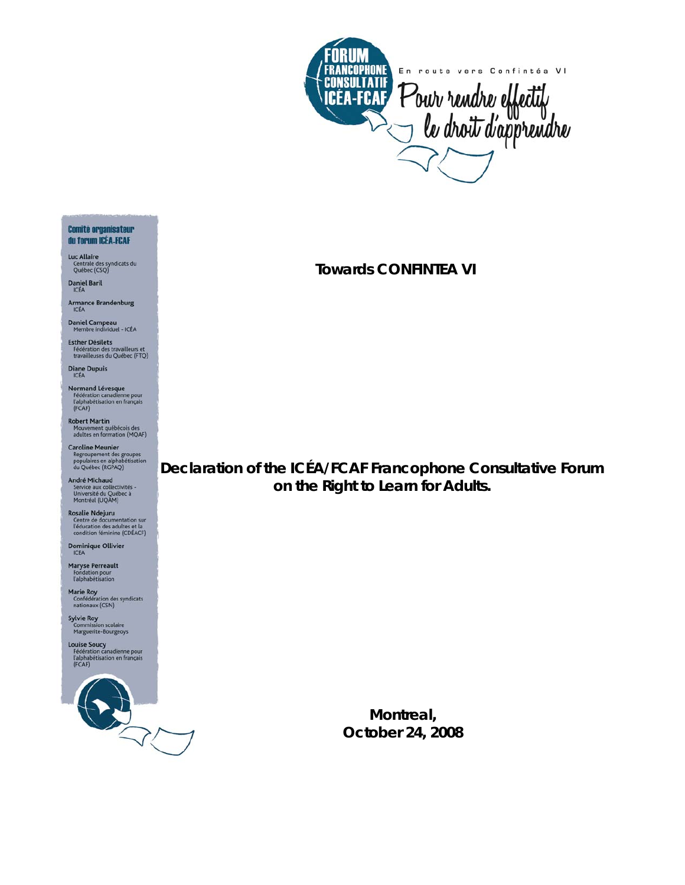

**Towards CONFINTEA VI** 

# **Declaration of the ICÉA/FCAF Francophone Consultative Forum on the Right to Learn for Adults.**

**Montreal, October 24, 2008**

#### **Comité organisateur** du forum ICÉA-FCAF

- Luc Allaire Luc Attaire<br>Centrale des syndicats du<br>Québec (CSQ)
- **Daniel Baril**
- Armance Brandenburg<br>ICÉA
- Daniel Campeau<br>Membre individuel ICÉA
- **Esther Désilets** Fédération des travailleurs et<br>travailleuses du Québec (FTQ)
- Diane Dupuis
- **Normand Lévesque**<br>Fédération canadienne pour<br>l'alphabétisation en français<br>(FCAF)
- Robert Martin<br>Mouvement québécois des<br>adultes en formation (MQAF)
- Caroline Meunier<br>Regroupement des groupes<br>populaires en alphabétisation<br>du Québec (RGPAQ)
- André Michaud Service aux collectivités -<br>Université du Québec à<br>Montréal (UQÀM)
- **Rosalie Ndejuru** Centre de documentation sur<br>l'éducation des adultes et la<br>condition féminine (CDÉACF)
- Dominique Ollivier
- Maryse Perreault<br>Fondation pour<br>l'alphabétisation
- Marie Roy<br>Confédération des syndicats<br>nationaux (CSN)
- Sylvie Roy<br>Commission scolaire<br>Marguerite-Bourgeoys
- **Louise Soucy<br>Fédération canadienne pour<br>l'alphabétisation en français<br>(FCAF)**

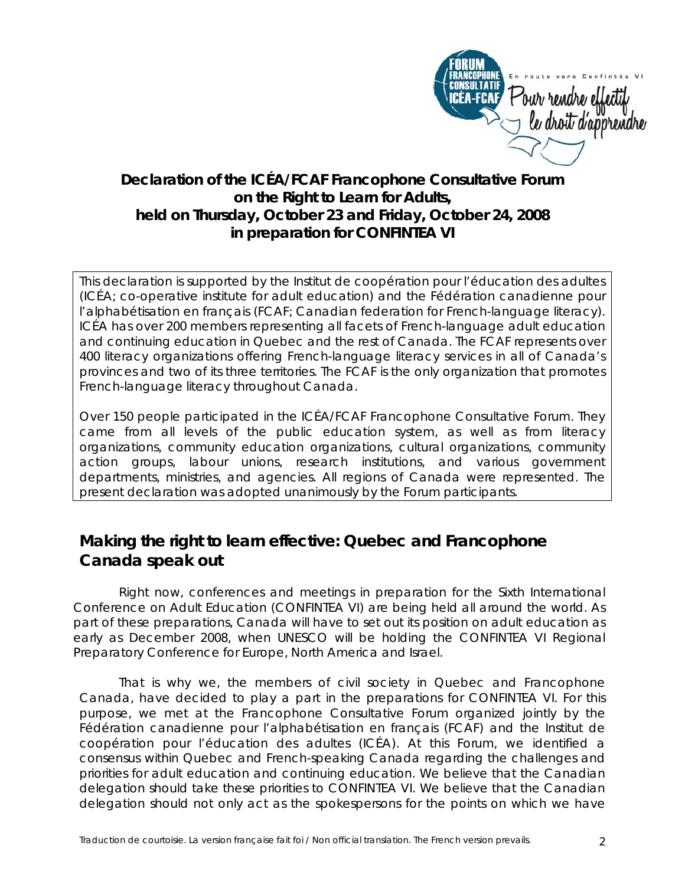

## **Declaration of the ICÉA/FCAF Francophone Consultative Forum on the Right to Learn for Adults, held on Thursday, October 23 and Friday, October 24, 2008 in preparation for CONFINTEA VI**

This declaration is supported by the Institut de coopération pour l'éducation des adultes (ICÉA; co-operative institute for adult education) and the Fédération canadienne pour l'alphabétisation en français (FCAF; Canadian federation for French-language literacy). ICÉA has over 200 members representing all facets of French-language adult education and continuing education in Quebec and the rest of Canada. The FCAF represents over 400 literacy organizations offering French-language literacy services in all of Canada's provinces and two of its three territories. The FCAF is the only organization that promotes French-language literacy throughout Canada.

Over 150 people participated in the ICÉA/FCAF Francophone Consultative Forum. They came from all levels of the public education system, as well as from literacy organizations, community education organizations, cultural organizations, community action groups, labour unions, research institutions, and various government departments, ministries, and agencies. All regions of Canada were represented. The present declaration was adopted unanimously by the Forum participants.

## **Making the right to learn effective: Quebec and Francophone Canada speak out**

Right now, conferences and meetings in preparation for the Sixth International Conference on Adult Education (CONFINTEA VI) are being held all around the world. As part of these preparations, Canada will have to set out its position on adult education as early as December 2008, when UNESCO will be holding the CONFINTEA VI Regional Preparatory Conference for Europe, North America and Israel.

That is why we, the members of civil society in Quebec and Francophone Canada, have decided to play a part in the preparations for CONFINTEA VI. For this purpose, we met at the Francophone Consultative Forum organized jointly by the Fédération canadienne pour l'alphabétisation en français (FCAF) and the Institut de coopération pour l'éducation des adultes (ICÉA). At this Forum, we identified a consensus within Quebec and French-speaking Canada regarding the challenges and priorities for adult education and continuing education. We believe that the Canadian delegation should take these priorities to CONFINTEA VI. We believe that the Canadian delegation should not only act as the spokespersons for the points on which we have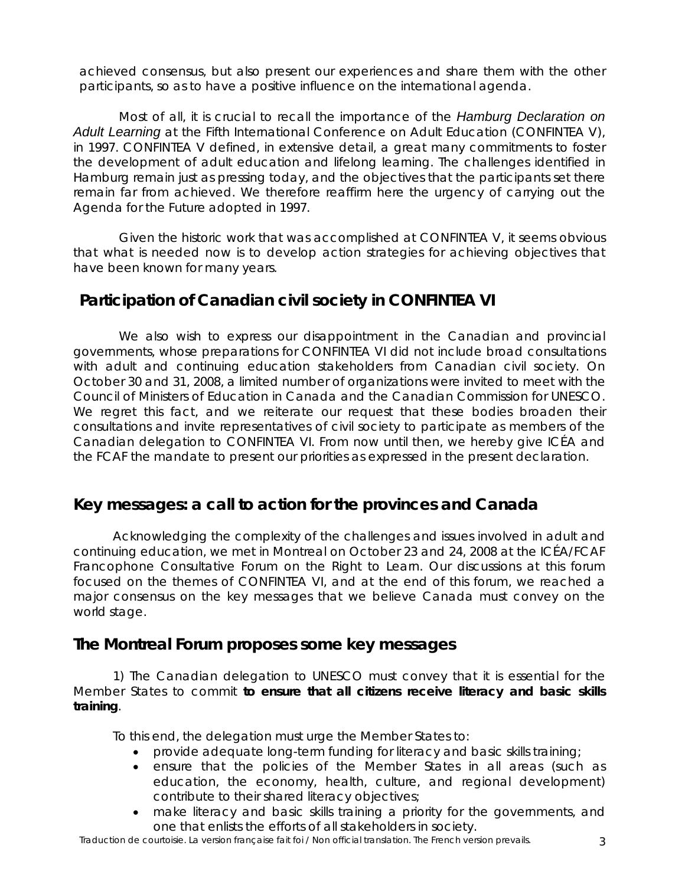achieved consensus, but also present our experiences and share them with the other participants, so as to have a positive influence on the international agenda.

Most of all, it is crucial to recall the importance of the *Hamburg Declaration on Adult Learning* at the Fifth International Conference on Adult Education (CONFINTEA V), in 1997. CONFINTEA V defined, in extensive detail, a great many commitments to foster the development of adult education and lifelong learning. The challenges identified in Hamburg remain just as pressing today, and the objectives that the participants set there remain far from achieved. We therefore reaffirm here the urgency of carrying out the *Agenda for the Future* adopted in 1997.

Given the historic work that was accomplished at CONFINTEA V, it seems obvious that what is needed now is to develop action strategies for achieving objectives that have been known for many years.

# **Participation of Canadian civil society in CONFINTEA VI**

We also wish to express our disappointment in the Canadian and provincial governments, whose preparations for CONFINTEA VI did not include broad consultations with adult and continuing education stakeholders from Canadian civil society. On October 30 and 31, 2008, a limited number of organizations were invited to meet with the Council of Ministers of Education in Canada and the Canadian Commission for UNESCO. We regret this fact, and we reiterate our request that these bodies broaden their consultations and invite representatives of civil society to participate as members of the Canadian delegation to CONFINTEA VI. From now until then, we hereby give ICÉA and the FCAF the mandate to present our priorities as expressed in the present declaration.

#### **Key messages: a call to action for the provinces and Canada**

Acknowledging the complexity of the challenges and issues involved in adult and continuing education, we met in Montreal on October 23 and 24, 2008 at the ICÉA/FCAF Francophone Consultative Forum on the Right to Learn. Our discussions at this forum focused on the themes of CONFINTEA VI, and at the end of this forum, we reached a major consensus on the key messages that we believe Canada must convey on the world stage.

#### **The Montreal Forum proposes some key messages**

1) The Canadian delegation to UNESCO must convey that it is essential for the Member States to commit **to ensure that all citizens receive literacy and basic skills training**.

To this end, the delegation must urge the Member States to:

- provide adequate long-term funding for literacy and basic skills training;
- ensure that the policies of the Member States in all areas (such as education, the economy, health, culture, and regional development) contribute to their shared literacy objectives;
- make literacy and basic skills training a priority for the governments, and one that enlists the efforts of all stakeholders in society.

Traduction de courtoisie. La version française fait foi / Non official translation. The French version prevails. 3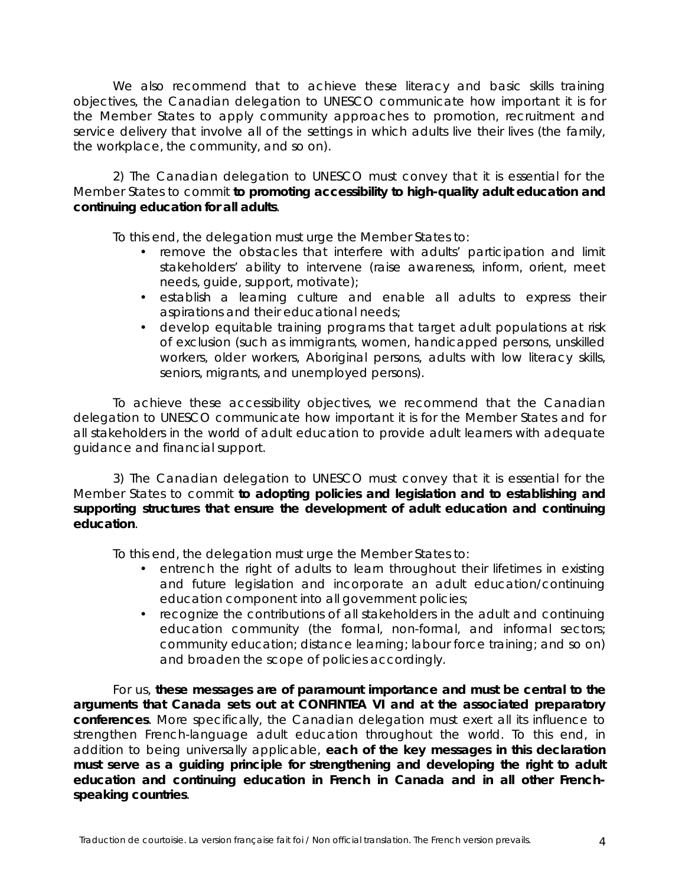We also recommend that to achieve these literacy and basic skills training objectives, the Canadian delegation to UNESCO communicate how important it is for the Member States to apply community approaches to promotion, recruitment and service delivery that involve all of the settings in which adults live their lives (the family, the workplace, the community, and so on).

2) The Canadian delegation to UNESCO must convey that it is essential for the Member States to commit **to promoting accessibility to high-quality adult education and continuing education for all adults**.

To this end, the delegation must urge the Member States to:

- remove the obstacles that interfere with adults' participation and limit stakeholders' ability to intervene (raise awareness, inform, orient, meet needs, guide, support, motivate);
- establish a learning culture and enable all adults to express their aspirations and their educational needs;
- develop equitable training programs that target adult populations at risk of exclusion (such as immigrants, women, handicapped persons, unskilled workers, older workers, Aboriginal persons, adults with low literacy skills, seniors, migrants, and unemployed persons).

To achieve these accessibility objectives, we recommend that the Canadian delegation to UNESCO communicate how important it is for the Member States and for all stakeholders in the world of adult education to provide adult learners with adequate guidance and financial support.

3) The Canadian delegation to UNESCO must convey that it is essential for the Member States to commit **to adopting policies and legislation and to establishing and supporting structures that ensure the development of adult education and continuing education**.

To this end, the delegation must urge the Member States to:

- entrench the right of adults to learn throughout their lifetimes in existing and future legislation and incorporate an adult education/continuing education component into all government policies;
- recognize the contributions of all stakeholders in the adult and continuing education community (the formal, non-formal, and informal sectors; community education; distance learning; labour force training; and so on) and broaden the scope of policies accordingly.

For us, **these messages are of paramount importance and must be central to the arguments that Canada sets out at CONFINTEA VI and at the associated preparatory conferences**. More specifically, the Canadian delegation must exert all its influence to strengthen French-language adult education throughout the world. To this end, in addition to being universally applicable, **each of the key messages in this declaration must serve as a guiding principle for strengthening and developing the right to adult education and continuing education in French in Canada and in all other Frenchspeaking countries**.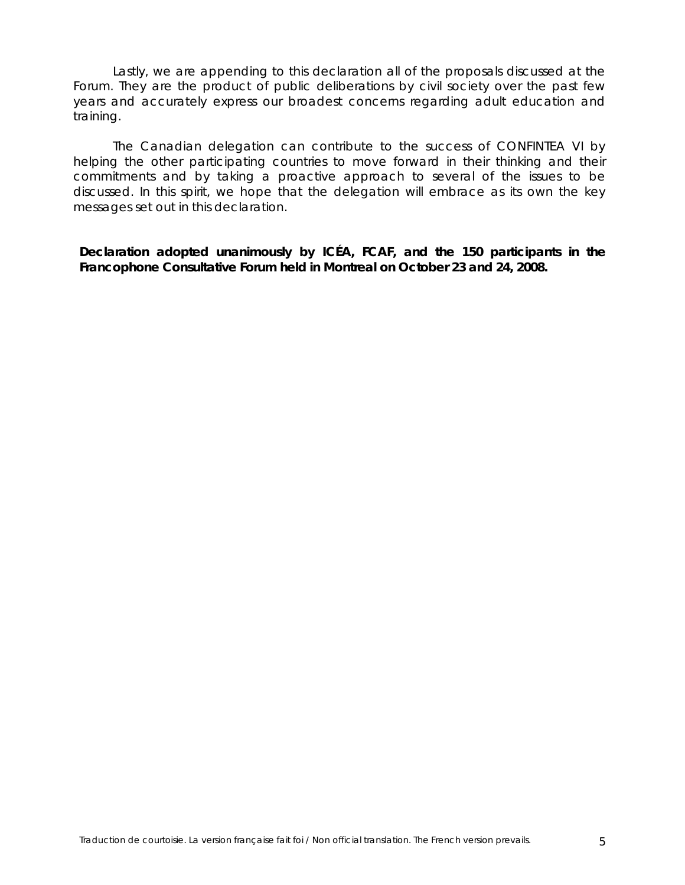Lastly, we are appending to this declaration all of the proposals discussed at the Forum. They are the product of public deliberations by civil society over the past few years and accurately express our broadest concerns regarding adult education and training.

The Canadian delegation can contribute to the success of CONFINTEA VI by helping the other participating countries to move forward in their thinking and their commitments and by taking a proactive approach to several of the issues to be discussed. In this spirit, we hope that the delegation will embrace as its own the key messages set out in this declaration.

*Declaration adopted unanimously by ICÉA, FCAF, and the 150 participants in the Francophone Consultative Forum held in Montreal on October 23 and 24, 2008.*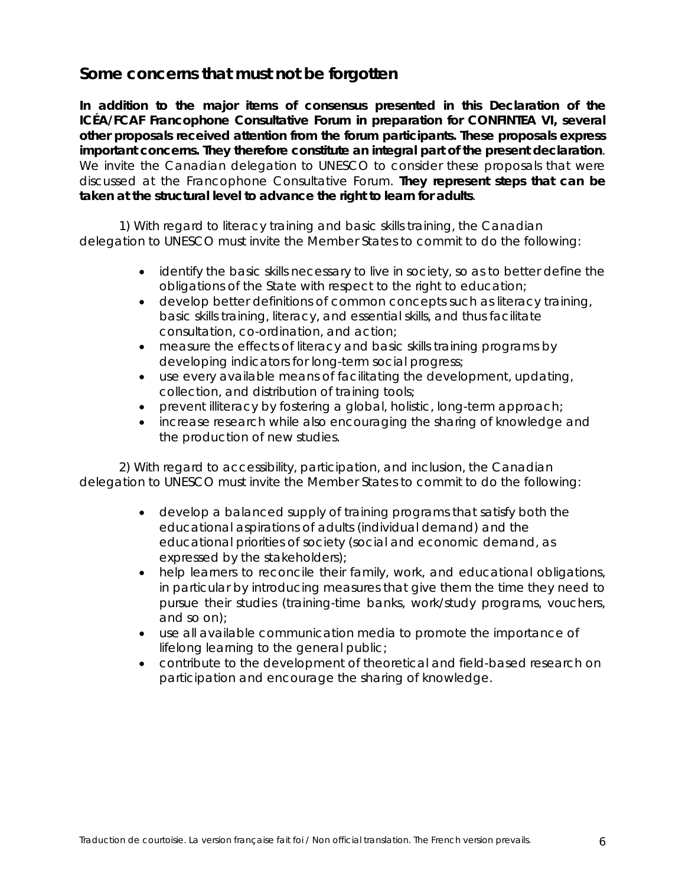## **Some concerns that must not be forgotten**

**In addition to the major items of consensus presented in this Declaration of the ICÉA/FCAF Francophone Consultative Forum in preparation for CONFINTEA VI, several other proposals received attention from the forum participants. These proposals express important concerns. They therefore constitute an integral part of the present declaration**. We invite the Canadian delegation to UNESCO to consider these proposals that were discussed at the Francophone Consultative Forum. **They represent steps that can be taken at the structural level to advance the right to learn for adults**.

1) With regard to literacy training and basic skills training, the Canadian delegation to UNESCO must invite the Member States to commit to do the following:

- identify the basic skills necessary to live in society, so as to better define the obligations of the State with respect to the right to education;
- develop better definitions of common concepts such as literacy training, basic skills training, literacy, and essential skills, and thus facilitate consultation, co-ordination, and action;
- measure the effects of literacy and basic skills training programs by developing indicators for long-term social progress;
- use every available means of facilitating the development, updating, collection, and distribution of training tools;
- prevent illiteracy by fostering a global, holistic, long-term approach;
- increase research while also encouraging the sharing of knowledge and the production of new studies.

2) With regard to accessibility, participation, and inclusion, the Canadian delegation to UNESCO must invite the Member States to commit to do the following:

- develop a balanced supply of training programs that satisfy both the educational aspirations of adults (individual demand) and the educational priorities of society (social and economic demand, as expressed by the stakeholders);
- help learners to reconcile their family, work, and educational obligations, in particular by introducing measures that give them the time they need to pursue their studies (training-time banks, work/study programs, vouchers, and so on);
- use all available communication media to promote the importance of lifelong learning to the general public;
- contribute to the development of theoretical and field-based research on participation and encourage the sharing of knowledge.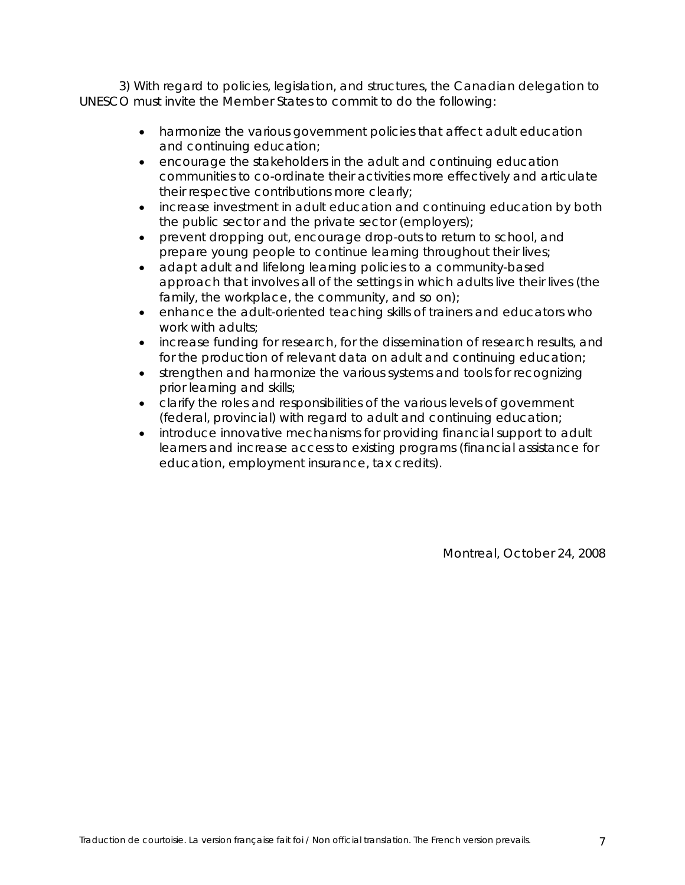3) With regard to policies, legislation, and structures, the Canadian delegation to UNESCO must invite the Member States to commit to do the following:

- harmonize the various government policies that affect adult education and continuing education;
- encourage the stakeholders in the adult and continuing education communities to co-ordinate their activities more effectively and articulate their respective contributions more clearly;
- increase investment in adult education and continuing education by both the public sector and the private sector (employers);
- prevent dropping out, encourage drop-outs to return to school, and prepare young people to continue learning throughout their lives;
- adapt adult and lifelong learning policies to a community-based approach that involves all of the settings in which adults live their lives (the family, the workplace, the community, and so on);
- enhance the adult-oriented teaching skills of trainers and educators who work with adults;
- increase funding for research, for the dissemination of research results, and for the production of relevant data on adult and continuing education;
- strengthen and harmonize the various systems and tools for recognizing prior learning and skills;
- clarify the roles and responsibilities of the various levels of government (federal, provincial) with regard to adult and continuing education;
- introduce innovative mechanisms for providing financial support to adult learners and increase access to existing programs (financial assistance for education, employment insurance, tax credits).

Montreal, October 24, 2008